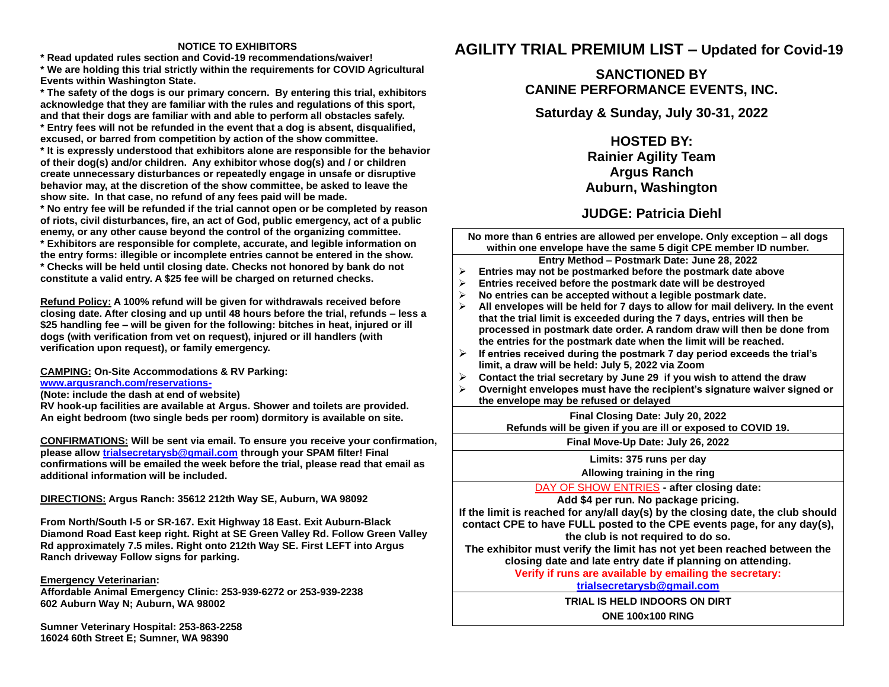#### **NOTICE TO EXHIBITORS**

**\* Read updated rules section and Covid-19 recommendations/waiver! \* We are holding this trial strictly within the requirements for COVID Agricultural Events within Washington State.**

**\* The safety of the dogs is our primary concern. By entering this trial, exhibitors acknowledge that they are familiar with the rules and regulations of this sport, and that their dogs are familiar with and able to perform all obstacles safely. \* Entry fees will not be refunded in the event that a dog is absent, disqualified,** 

**excused, or barred from competition by action of the show committee.**

**\* It is expressly understood that exhibitors alone are responsible for the behavior of their dog(s) and/or children. Any exhibitor whose dog(s) and / or children create unnecessary disturbances or repeatedly engage in unsafe or disruptive behavior may, at the discretion of the show committee, be asked to leave the show site. In that case, no refund of any fees paid will be made.**

**\* No entry fee will be refunded if the trial cannot open or be completed by reason of riots, civil disturbances, fire, an act of God, public emergency, act of a public enemy, or any other cause beyond the control of the organizing committee. \* Exhibitors are responsible for complete, accurate, and legible information on the entry forms: illegible or incomplete entries cannot be entered in the show. \* Checks will be held until closing date. Checks not honored by bank do not constitute a valid entry. A \$25 fee will be charged on returned checks.**

**Refund Policy: A 100% refund will be given for withdrawals received before closing date. After closing and up until 48 hours before the trial, refunds – less a \$25 handling fee – will be given for the following: bitches in heat, injured or ill dogs (with verification from vet on request), injured or ill handlers (with verification upon request), or family emergency.**

**CAMPING: On-Site Accommodations & RV Parking: [www.argusranch.com/reservations-](http://www.argusranch.com/reservations-)**

**(Note: include the dash at end of website)** 

**RV hook-up facilities are available at Argus. Shower and toilets are provided. An eight bedroom (two single beds per room) dormitory is available on site.**

**CONFIRMATIONS: Will be sent via email. To ensure you receive your confirmation, please allo[w trialsecretarysb@gmail.com](mailto:trialsecretarysb@gmail.com?subject=January%20RAT%20CPE) through your SPAM filter! Final confirmations will be emailed the week before the trial, please read that email as additional information will be included.**

**DIRECTIONS: Argus Ranch: 35612 212th Way SE, Auburn, WA 98092**

**From North/South I-5 or SR-167. Exit Highway 18 East. Exit Auburn-Black Diamond Road East keep right. Right at SE Green Valley Rd. Follow Green Valley Rd approximately 7.5 miles. Right onto 212th Way SE. First LEFT into Argus Ranch driveway Follow signs for parking.**

#### **Emergency Veterinarian:**

**Affordable Animal Emergency Clinic: 253-939-6272 or 253-939-2238 602 Auburn Way N; Auburn, WA 98002** 

**Sumner Veterinary Hospital: 253-863-2258 16024 60th Street E; Sumner, WA 98390**

# **AGILITY TRIAL PREMIUM LIST – Updated for Covid-19**

## **SANCTIONED BY CANINE PERFORMANCE EVENTS, INC.**

**Saturday & Sunday, July 30-31, 2022**

**HOSTED BY: Rainier Agility Team Argus Ranch Auburn, Washington**

## **JUDGE: Patricia Diehl**

**No more than 6 entries are allowed per envelope. Only exception – all dogs within one envelope have the same 5 digit CPE member ID number.**

**Entry Method – Postmark Date: June 28, 2022**

- ➢ **Entries may not be postmarked before the postmark date above**
- ➢ **Entries received before the postmark date will be destroyed**
- ➢ **No entries can be accepted without a legible postmark date.**
- ➢ **All envelopes will be held for 7 days to allow for mail delivery. In the event that the trial limit is exceeded during the 7 days, entries will then be processed in postmark date order. A random draw will then be done from the entries for the postmark date when the limit will be reached.**
- ➢ **If entries received during the postmark 7 day period exceeds the trial's limit, a draw will be held: July 5, 2022 via Zoom**
- ➢ **Contact the trial secretary by June 29 if you wish to attend the draw**
- ➢ **Overnight envelopes must have the recipient's signature waiver signed or the envelope may be refused or delayed**

**Final Closing Date: July 20, 2022 Refunds will be given if you are ill or exposed to COVID 19.** 

**Final Move-Up Date: July 26, 2022**

**Limits: 375 runs per day**

**Allowing training in the ring**

DAY OF SHOW ENTRIES **- after closing date:** 

**Add \$4 per run. No package pricing.** 

**If the limit is reached for any/all day(s) by the closing date, the club should contact CPE to have FULL posted to the CPE events page, for any day(s), the club is not required to do so.** 

**The exhibitor must verify the limit has not yet been reached between the closing date and late entry date if planning on attending.** 

**Verify if runs are available by emailing the secretary:** 

**[trialsecretarysb@gmail.com](mailto:trialsecretarysb@gmail.com)**

**TRIAL IS HELD INDOORS ON DIRT**

**ONE 100x100 RING**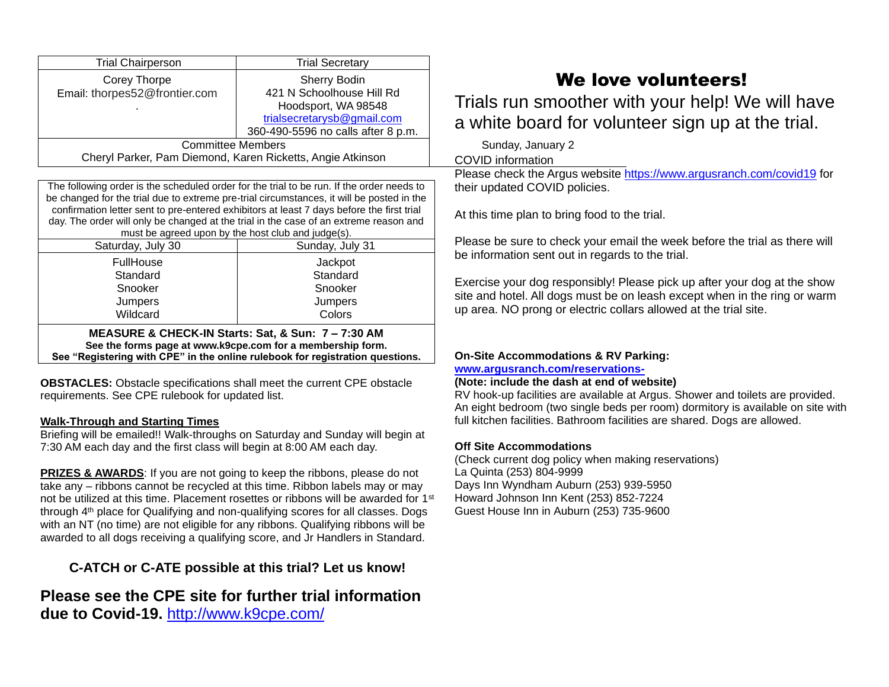| <b>Trial Chairperson</b>                                                                                                                                                                                                                                                                                                                                                                                                           | <b>Trial Secretary</b>             |  |  |  |  |
|------------------------------------------------------------------------------------------------------------------------------------------------------------------------------------------------------------------------------------------------------------------------------------------------------------------------------------------------------------------------------------------------------------------------------------|------------------------------------|--|--|--|--|
| Corey Thorpe                                                                                                                                                                                                                                                                                                                                                                                                                       | Sherry Bodin                       |  |  |  |  |
| Email: thorpes52@frontier.com                                                                                                                                                                                                                                                                                                                                                                                                      | 421 N Schoolhouse Hill Rd          |  |  |  |  |
|                                                                                                                                                                                                                                                                                                                                                                                                                                    | Hoodsport, WA 98548                |  |  |  |  |
|                                                                                                                                                                                                                                                                                                                                                                                                                                    | trialsecretarysb@gmail.com         |  |  |  |  |
|                                                                                                                                                                                                                                                                                                                                                                                                                                    | 360-490-5596 no calls after 8 p.m. |  |  |  |  |
| <b>Committee Members</b>                                                                                                                                                                                                                                                                                                                                                                                                           |                                    |  |  |  |  |
| Cheryl Parker, Pam Diemond, Karen Ricketts, Angie Atkinson                                                                                                                                                                                                                                                                                                                                                                         |                                    |  |  |  |  |
|                                                                                                                                                                                                                                                                                                                                                                                                                                    |                                    |  |  |  |  |
| The following order is the scheduled order for the trial to be run. If the order needs to<br>be changed for the trial due to extreme pre-trial circumstances, it will be posted in the<br>confirmation letter sent to pre-entered exhibitors at least 7 days before the first trial<br>day. The order will only be changed at the trial in the case of an extreme reason and<br>must be agreed upon by the host club and judge(s). |                                    |  |  |  |  |
| Saturday, July 30                                                                                                                                                                                                                                                                                                                                                                                                                  | Sunday, July 31                    |  |  |  |  |
| FullHouse                                                                                                                                                                                                                                                                                                                                                                                                                          | Jackpot                            |  |  |  |  |
| Standard                                                                                                                                                                                                                                                                                                                                                                                                                           | Standard                           |  |  |  |  |
| Snooker                                                                                                                                                                                                                                                                                                                                                                                                                            | Snooker                            |  |  |  |  |
| Jumpers                                                                                                                                                                                                                                                                                                                                                                                                                            | Jumpers                            |  |  |  |  |
| Wildcard                                                                                                                                                                                                                                                                                                                                                                                                                           | Colors                             |  |  |  |  |
| MEASURE & CHECK-IN Starts: Sat, & Sun: 7 - 7:30 AM<br>See the forms page at www.k9cpe.com for a membership form.<br>See "Registering with CPE" in the online rulebook for registration questions.                                                                                                                                                                                                                                  |                                    |  |  |  |  |

**OBSTACLES:** Obstacle specifications shall meet the current CPE obstacle requirements. See CPE rulebook for updated list.

#### **Walk-Through and Starting Times**

Briefing will be emailed!! Walk-throughs on Saturday and Sunday will begin at 7:30 AM each day and the first class will begin at 8:00 AM each day.

**PRIZES & AWARDS:** If you are not going to keep the ribbons, please do not take any – ribbons cannot be recycled at this time. Ribbon labels may or may not be utilized at this time. Placement rosettes or ribbons will be awarded for 1<sup>st</sup> through 4<sup>th</sup> place for Qualifying and non-qualifying scores for all classes. Dogs with an NT (no time) are not eligible for any ribbons. Qualifying ribbons will be awarded to all dogs receiving a qualifying score, and Jr Handlers in Standard.

# **C-ATCH or C-ATE possible at this trial? Let us know!**

**Please see the CPE site for further trial information due to Covid-19.** <http://www.k9cpe.com/>

# We love volunteers!

Trials run smoother with your help! We will have a white board for volunteer sign up at the trial.

Sunday, January 2

COVID information

Please check the Argus website<https://www.argusranch.com/covid19> for their updated COVID policies.

At this time plan to bring food to the trial.

Please be sure to check your email the week before the trial as there will be information sent out in regards to the trial.

Exercise your dog responsibly! Please pick up after your dog at the show site and hotel. All dogs must be on leash except when in the ring or warm up area. NO prong or electric collars allowed at the trial site.

### **On-Site Accommodations & RV Parking:**

**[www.argusranch.com/reservations-](http://www.argusranch.com/reservations-)**

#### **(Note: include the dash at end of website)**

RV hook-up facilities are available at Argus. Shower and toilets are provided. An eight bedroom (two single beds per room) dormitory is available on site with full kitchen facilities. Bathroom facilities are shared. Dogs are allowed.

### **Off Site Accommodations**

(Check current dog policy when making reservations) La Quinta (253) 804-9999 Days Inn Wyndham Auburn (253) 939-5950 Howard Johnson Inn Kent (253) 852-7224 Guest House Inn in Auburn (253) 735-9600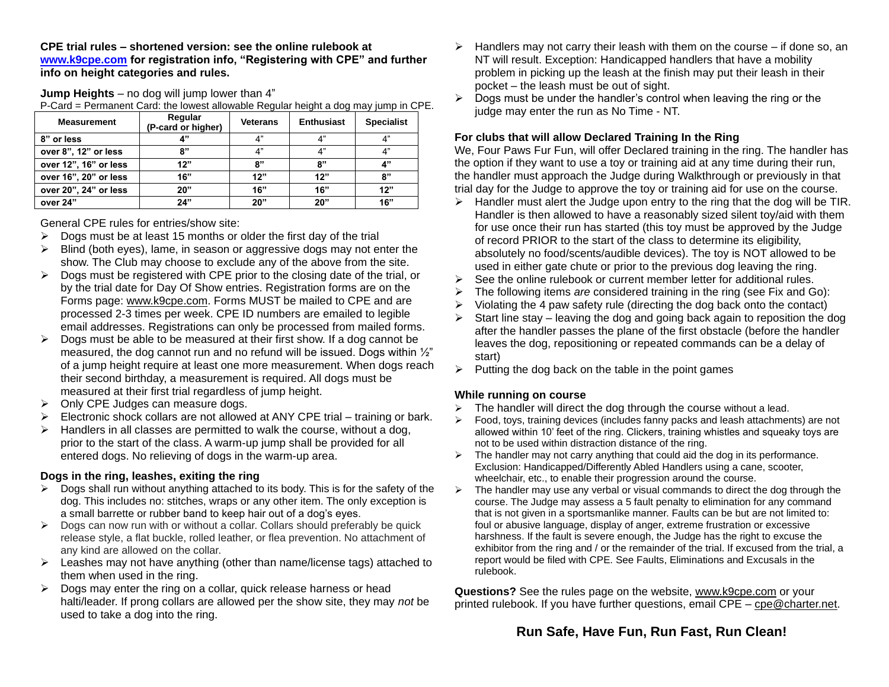**CPE trial rules – shortened version: see the online rulebook at [www.k9cpe.com](http://www.k9cpe.com/) for registration info, "Registering with CPE" and further info on height categories and rules.**

**Jump Heights** – no dog will jump lower than 4"

P-Card = Permanent Card: the lowest allowable Regular height a dog may jump in CPE.

| <b>Measurement</b>    | Regular<br>(P-card or higher) | <b>Veterans</b> | <b>Enthusiast</b> | <b>Specialist</b> |
|-----------------------|-------------------------------|-----------------|-------------------|-------------------|
| 8" or less            |                               | $\Lambda$ "     | A"                | 4"                |
| over 8", 12" or less  | 8"                            | $\Lambda$ "     | A"                | 4"                |
| over 12", 16" or less | 12"                           | יי פ            | "י                | 4"                |
| over 16", 20" or less | 16"                           | 12"             | 12"               | 8"                |
| over 20", 24" or less | 20"                           | 16"             | 16"               | 12"               |
| over 24"              | 24"                           | 20"             | 20"               | 16"               |

General CPE rules for entries/show site:

- $\triangleright$  Dogs must be at least 15 months or older the first day of the trial
- $\triangleright$  Blind (both eyes), lame, in season or aggressive dogs may not enter the show. The Club may choose to exclude any of the above from the site.
- $\triangleright$  Dogs must be registered with CPE prior to the closing date of the trial, or by the trial date for Day Of Show entries. Registration forms are on the Forms page: [www.k9cpe.com.](http://www.k9cpe.com/) Forms MUST be mailed to CPE and are processed 2-3 times per week. CPE ID numbers are emailed to legible email addresses. Registrations can only be processed from mailed forms.
- $\triangleright$  Dogs must be able to be measured at their first show. If a dog cannot be measured, the dog cannot run and no refund will be issued. Dogs within  $\frac{1}{2}$ " of a jump height require at least one more measurement. When dogs reach their second birthday, a measurement is required. All dogs must be measured at their first trial regardless of jump height.
- $\triangleright$  Only CPE Judges can measure dogs.
- $\triangleright$  Electronic shock collars are not allowed at ANY CPE trial training or bark.
- Handlers in all classes are permitted to walk the course, without a dog, prior to the start of the class. A warm-up jump shall be provided for all entered dogs. No relieving of dogs in the warm-up area.

#### **Dogs in the ring, leashes, exiting the ring**

- $\triangleright$  Dogs shall run without anything attached to its body. This is for the safety of the dog. This includes no: stitches, wraps or any other item. The only exception is a small barrette or rubber band to keep hair out of a dog's eyes.
- $\triangleright$  Dogs can now run with or without a collar. Collars should preferably be quick release style, a flat buckle, rolled leather, or flea prevention. No attachment of any kind are allowed on the collar.
- $\triangleright$  Leashes may not have anything (other than name/license tags) attached to them when used in the ring.
- $\triangleright$  Dogs may enter the ring on a collar, quick release harness or head halti/leader. If prong collars are allowed per the show site, they may *not* be used to take a dog into the ring.
- $\triangleright$  Handlers may not carry their leash with them on the course if done so, an NT will result. Exception: Handicapped handlers that have a mobility problem in picking up the leash at the finish may put their leash in their pocket – the leash must be out of sight.
- $\triangleright$  Dogs must be under the handler's control when leaving the ring or the judge may enter the run as No Time - NT.

#### **For clubs that will allow Declared Training In the Ring**

We, Four Paws Fur Fun, will offer Declared training in the ring. The handler has the option if they want to use a toy or training aid at any time during their run, the handler must approach the Judge during Walkthrough or previously in that trial day for the Judge to approve the toy or training aid for use on the course.

- $\triangleright$  Handler must alert the Judge upon entry to the ring that the dog will be TIR. Handler is then allowed to have a reasonably sized silent toy/aid with them for use once their run has started (this toy must be approved by the Judge of record PRIOR to the start of the class to determine its eligibility, absolutely no food/scents/audible devices). The toy is NOT allowed to be used in either gate chute or prior to the previous dog leaving the ring.
- $\triangleright$  See the online rulebook or current member letter for additional rules.
- ➢ The following items *are* considered training in the ring (see Fix and Go):
- $\triangleright$  Violating the 4 paw safety rule (directing the dog back onto the contact)
- $\triangleright$  Start line stay leaving the dog and going back again to reposition the dog after the handler passes the plane of the first obstacle (before the handler leaves the dog, repositioning or repeated commands can be a delay of start)
- ➢ Putting the dog back on the table in the point games

#### **While running on course**

- $\triangleright$  The handler will direct the dog through the course without a lead.
- ➢ Food, toys, training devices (includes fanny packs and leash attachments) are not allowed within 10' feet of the ring. Clickers, training whistles and squeaky toys are not to be used within distraction distance of the ring.
- $\triangleright$  The handler may not carry anything that could aid the dog in its performance. Exclusion: Handicapped/Differently Abled Handlers using a cane, scooter, wheelchair, etc., to enable their progression around the course.
- $\triangleright$  The handler may use any verbal or visual commands to direct the dog through the course. The Judge may assess a 5 fault penalty to elimination for any command that is not given in a sportsmanlike manner. Faults can be but are not limited to: foul or abusive language, display of anger, extreme frustration or excessive harshness. If the fault is severe enough, the Judge has the right to excuse the exhibitor from the ring and / or the remainder of the trial. If excused from the trial, a report would be filed with CPE. See Faults, Eliminations and Excusals in the rulebook.

**Questions?** See the rules page on the website, [www.k9cpe.com](http://www.k9cpe.com/) or your printed rulebook. If you have further questions, email CPE – [cpe@charter.net.](mailto:cpe@charter.net)

## **Run Safe, Have Fun, Run Fast, Run Clean!**